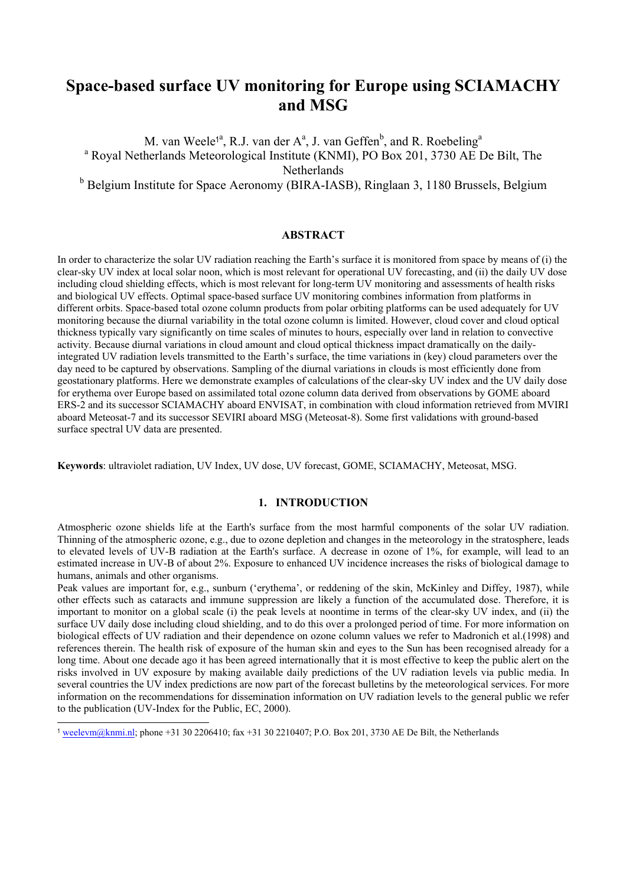# **Space-based surface UV monitoring for Europe using SCIAMACHY and MSG**

M. van Weele<sup>1a</sup>, R.J. van der A<sup>a</sup>, J. van Geffen<sup>b</sup>, and R. Roebeling<sup>a</sup> <sup>a</sup> Royal Netherlands Meteorological Institute (KNMI), PO Box 201, 3730 AE De Bilt, The **Netherlands** 

<sup>b</sup> Belgium Institute for Space Aeronomy (BIRA-IASB), Ringlaan 3, 1180 Brussels, Belgium

## **ABSTRACT**

In order to characterize the solar UV radiation reaching the Earth's surface it is monitored from space by means of (i) the clear-sky UV index at local solar noon, which is most relevant for operational UV forecasting, and (ii) the daily UV dose including cloud shielding effects, which is most relevant for long-term UV monitoring and assessments of health risks and biological UV effects. Optimal space-based surface UV monitoring combines information from platforms in different orbits. Space-based total ozone column products from polar orbiting platforms can be used adequately for UV monitoring because the diurnal variability in the total ozone column is limited. However, cloud cover and cloud optical thickness typically vary significantly on time scales of minutes to hours, especially over land in relation to convective activity. Because diurnal variations in cloud amount and cloud optical thickness impact dramatically on the dailyintegrated UV radiation levels transmitted to the Earth's surface, the time variations in (key) cloud parameters over the day need to be captured by observations. Sampling of the diurnal variations in clouds is most efficiently done from geostationary platforms. Here we demonstrate examples of calculations of the clear-sky UV index and the UV daily dose for erythema over Europe based on assimilated total ozone column data derived from observations by GOME aboard ERS-2 and its successor SCIAMACHY aboard ENVISAT, in combination with cloud information retrieved from MVIRI aboard Meteosat-7 and its successor SEVIRI aboard MSG (Meteosat-8). Some first validations with ground-based surface spectral UV data are presented.

**Keywords**: ultraviolet radiation, UV Index, UV dose, UV forecast, GOME, SCIAMACHY, Meteosat, MSG.

## **1. INTRODUCTION**

Atmospheric ozone shields life at the Earth's surface from the most harmful components of the solar UV radiation. Thinning of the atmospheric ozone, e.g., due to ozone depletion and changes in the meteorology in the stratosphere, leads to elevated levels of UV-B radiation at the Earth's surface. A decrease in ozone of 1%, for example, will lead to an estimated increase in UV-B of about 2%. Exposure to enhanced UV incidence increases the risks of biological damage to humans, animals and other organisms.

Peak values are important for, e.g., sunburn ('erythema', or reddening of the skin, McKinley and Diffey, 1987), while other effects such as cataracts and immune suppression are likely a function of the accumulated dose. Therefore, it is important to monitor on a global scale (i) the peak levels at noontime in terms of the clear-sky UV index, and (ii) the surface UV daily dose including cloud shielding, and to do this over a prolonged period of time. For more information on biological effects of UV radiation and their dependence on ozone column values we refer to Madronich et al.(1998) and references therein. The health risk of exposure of the human skin and eyes to the Sun has been recognised already for a long time. About one decade ago it has been agreed internationally that it is most effective to keep the public alert on the risks involved in UV exposure by making available daily predictions of the UV radiation levels via public media. In several countries the UV index predictions are now part of the forecast bulletins by the meteorological services. For more information on the recommendations for dissemination information on UV radiation levels to the general public we refer to the publication (UV-Index for the Public, EC, 2000).

l

<sup>&</sup>lt;sup>1</sup> weelevm@knmi.nl; phone +31 30 2206410; fax +31 30 2210407; P.O. Box 201, 3730 AE De Bilt, the Netherlands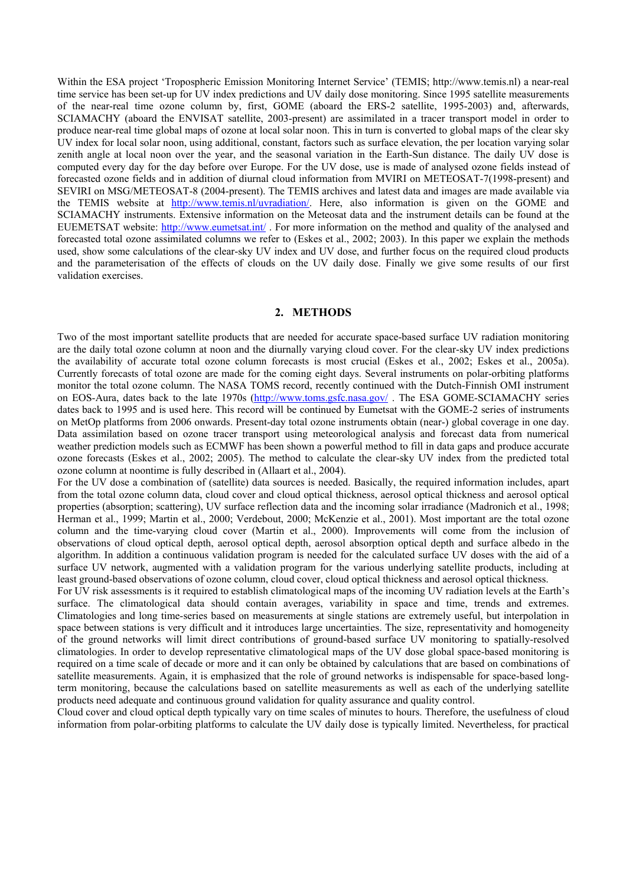Within the ESA project 'Tropospheric Emission Monitoring Internet Service' (TEMIS; http://www.temis.nl) a near-real time service has been set-up for UV index predictions and UV daily dose monitoring. Since 1995 satellite measurements of the near-real time ozone column by, first, GOME (aboard the ERS-2 satellite, 1995-2003) and, afterwards, SCIAMACHY (aboard the ENVISAT satellite, 2003-present) are assimilated in a tracer transport model in order to produce near-real time global maps of ozone at local solar noon. This in turn is converted to global maps of the clear sky UV index for local solar noon, using additional, constant, factors such as surface elevation, the per location varying solar zenith angle at local noon over the year, and the seasonal variation in the Earth-Sun distance. The daily UV dose is computed every day for the day before over Europe. For the UV dose, use is made of analysed ozone fields instead of forecasted ozone fields and in addition of diurnal cloud information from MVIRI on METEOSAT-7(1998-present) and SEVIRI on MSG/METEOSAT-8 (2004-present). The TEMIS archives and latest data and images are made available via the TEMIS website at http://www.temis.nl/uvradiation/. Here, also information is given on the GOME and SCIAMACHY instruments. Extensive information on the Meteosat data and the instrument details can be found at the EUEMETSAT website: http://www.eumetsat.int/ . For more information on the method and quality of the analysed and forecasted total ozone assimilated columns we refer to (Eskes et al., 2002; 2003). In this paper we explain the methods used, show some calculations of the clear-sky UV index and UV dose, and further focus on the required cloud products and the parameterisation of the effects of clouds on the UV daily dose. Finally we give some results of our first validation exercises.

### **2. METHODS**

Two of the most important satellite products that are needed for accurate space-based surface UV radiation monitoring are the daily total ozone column at noon and the diurnally varying cloud cover. For the clear-sky UV index predictions the availability of accurate total ozone column forecasts is most crucial (Eskes et al., 2002; Eskes et al., 2005a). Currently forecasts of total ozone are made for the coming eight days. Several instruments on polar-orbiting platforms monitor the total ozone column. The NASA TOMS record, recently continued with the Dutch-Finnish OMI instrument on EOS-Aura, dates back to the late 1970s (http://www.toms.gsfc.nasa.gov/ . The ESA GOME-SCIAMACHY series dates back to 1995 and is used here. This record will be continued by Eumetsat with the GOME-2 series of instruments on MetOp platforms from 2006 onwards. Present-day total ozone instruments obtain (near-) global coverage in one day. Data assimilation based on ozone tracer transport using meteorological analysis and forecast data from numerical weather prediction models such as ECMWF has been shown a powerful method to fill in data gaps and produce accurate ozone forecasts (Eskes et al., 2002; 2005). The method to calculate the clear-sky UV index from the predicted total ozone column at noontime is fully described in (Allaart et al., 2004).

For the UV dose a combination of (satellite) data sources is needed. Basically, the required information includes, apart from the total ozone column data, cloud cover and cloud optical thickness, aerosol optical thickness and aerosol optical properties (absorption; scattering), UV surface reflection data and the incoming solar irradiance (Madronich et al., 1998; Herman et al., 1999; Martin et al., 2000; Verdebout, 2000; McKenzie et al., 2001). Most important are the total ozone column and the time-varying cloud cover (Martin et al., 2000). Improvements will come from the inclusion of observations of cloud optical depth, aerosol optical depth, aerosol absorption optical depth and surface albedo in the algorithm. In addition a continuous validation program is needed for the calculated surface UV doses with the aid of a surface UV network, augmented with a validation program for the various underlying satellite products, including at least ground-based observations of ozone column, cloud cover, cloud optical thickness and aerosol optical thickness.

For UV risk assessments is it required to establish climatological maps of the incoming UV radiation levels at the Earth's surface. The climatological data should contain averages, variability in space and time, trends and extremes. Climatologies and long time-series based on measurements at single stations are extremely useful, but interpolation in space between stations is very difficult and it introduces large uncertainties. The size, representativity and homogeneity of the ground networks will limit direct contributions of ground-based surface UV monitoring to spatially-resolved climatologies. In order to develop representative climatological maps of the UV dose global space-based monitoring is required on a time scale of decade or more and it can only be obtained by calculations that are based on combinations of satellite measurements. Again, it is emphasized that the role of ground networks is indispensable for space-based longterm monitoring, because the calculations based on satellite measurements as well as each of the underlying satellite products need adequate and continuous ground validation for quality assurance and quality control.

Cloud cover and cloud optical depth typically vary on time scales of minutes to hours. Therefore, the usefulness of cloud information from polar-orbiting platforms to calculate the UV daily dose is typically limited. Nevertheless, for practical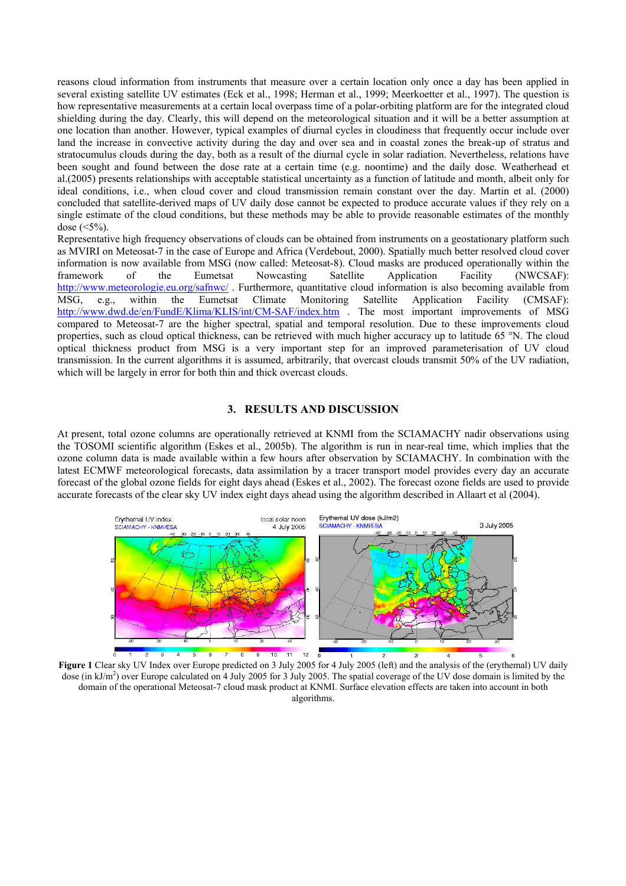reasons cloud information from instruments that measure over a certain location only once a day has been applied in several existing satellite UV estimates (Eck et al., 1998; Herman et al., 1999; Meerkoetter et al., 1997). The question is how representative measurements at a certain local overpass time of a polar-orbiting platform are for the integrated cloud shielding during the day. Clearly, this will depend on the meteorological situation and it will be a better assumption at one location than another. However, typical examples of diurnal cycles in cloudiness that frequently occur include over land the increase in convective activity during the day and over sea and in coastal zones the break-up of stratus and stratocumulus clouds during the day, both as a result of the diurnal cycle in solar radiation. Nevertheless, relations have been sought and found between the dose rate at a certain time (e.g. noontime) and the daily dose. Weatherhead et al.(2005) presents relationships with acceptable statistical uncertainty as a function of latitude and month, albeit only for ideal conditions, i.e., when cloud cover and cloud transmission remain constant over the day. Martin et al. (2000) concluded that satellite-derived maps of UV daily dose cannot be expected to produce accurate values if they rely on a single estimate of the cloud conditions, but these methods may be able to provide reasonable estimates of the monthly dose  $(<5\%)$ .

Representative high frequency observations of clouds can be obtained from instruments on a geostationary platform such as MVIRI on Meteosat-7 in the case of Europe and Africa (Verdebout, 2000). Spatially much better resolved cloud cover information is now available from MSG (now called: Meteosat-8). Cloud masks are produced operationally within the framework of the Eumetsat Nowcasting Satellite Application Facility (NWCSAF): http://www.meteorologie.eu.org/safnwc/. Furthermore, quantitative cloud information is also becoming available from MSG, e.g., within the Eumetsat Climate Monitoring Satellite Application Facility (CMSAF): http://www.dwd.de/en/FundE/Klima/KLIS/int/CM-SAF/index.htm . The most important improvements of MSG compared to Meteosat-7 are the higher spectral, spatial and temporal resolution. Due to these improvements cloud properties, such as cloud optical thickness, can be retrieved with much higher accuracy up to latitude 65 °N. The cloud optical thickness product from MSG is a very important step for an improved parameterisation of UV cloud transmission. In the current algorithms it is assumed, arbitrarily, that overcast clouds transmit 50% of the UV radiation, which will be largely in error for both thin and thick overcast clouds.

## **3. RESULTS AND DISCUSSION**

At present, total ozone columns are operationally retrieved at KNMI from the SCIAMACHY nadir observations using the TOSOMI scientific algorithm (Eskes et al., 2005b). The algorithm is run in near-real time, which implies that the ozone column data is made available within a few hours after observation by SCIAMACHY. In combination with the latest ECMWF meteorological forecasts, data assimilation by a tracer transport model provides every day an accurate forecast of the global ozone fields for eight days ahead (Eskes et al., 2002). The forecast ozone fields are used to provide accurate forecasts of the clear sky UV index eight days ahead using the algorithm described in Allaart et al (2004).



**Figure 1** Clear sky UV Index over Europe predicted on 3 July 2005 for 4 July 2005 (left) and the analysis of the (erythemal) UV daily dose (in kJ/m<sup>2</sup>) over Europe calculated on 4 July 2005 for 3 July 2005. The spatial coverage of the UV dose domain is limited by the domain of the operational Meteosat-7 cloud mask product at KNMI. Surface elevation effects are taken into account in both algorithms.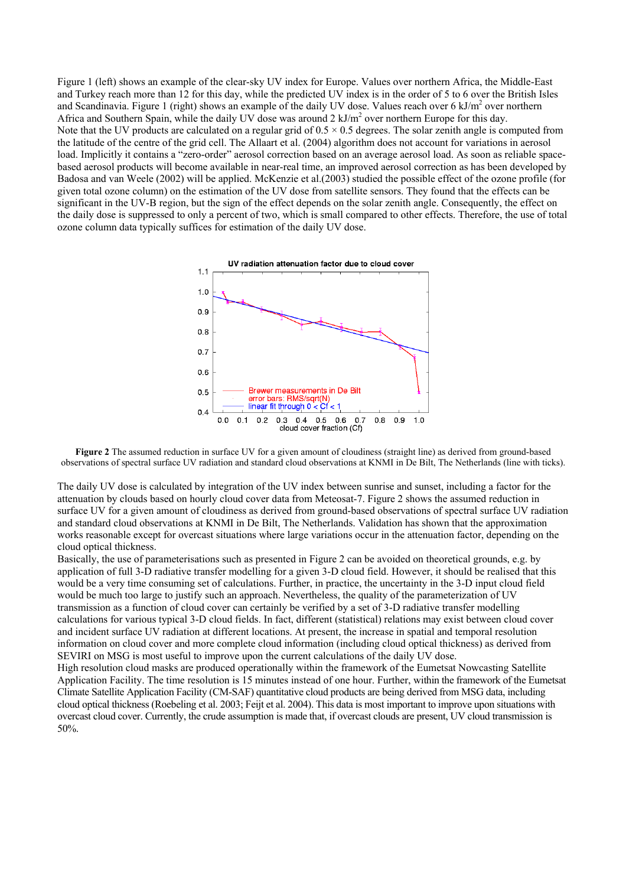Figure 1 (left) shows an example of the clear-sky UV index for Europe. Values over northern Africa, the Middle-East and Turkey reach more than 12 for this day, while the predicted UV index is in the order of 5 to 6 over the British Isles and Scandinavia. Figure 1 (right) shows an example of the daily UV dose. Values reach over 6 kJ/m<sup>2</sup> over northern Africa and Southern Spain, while the daily UV dose was around  $2 \text{ kJ/m}^2$  over northern Europe for this day. Note that the UV products are calculated on a regular grid of  $0.5 \times 0.5$  degrees. The solar zenith angle is computed from the latitude of the centre of the grid cell. The Allaart et al. (2004) algorithm does not account for variations in aerosol load. Implicitly it contains a "zero-order" aerosol correction based on an average aerosol load. As soon as reliable spacebased aerosol products will become available in near-real time, an improved aerosol correction as has been developed by Badosa and van Weele (2002) will be applied. McKenzie et al.(2003) studied the possible effect of the ozone profile (for given total ozone column) on the estimation of the UV dose from satellite sensors. They found that the effects can be significant in the UV-B region, but the sign of the effect depends on the solar zenith angle. Consequently, the effect on the daily dose is suppressed to only a percent of two, which is small compared to other effects. Therefore, the use of total ozone column data typically suffices for estimation of the daily UV dose.



**Figure 2** The assumed reduction in surface UV for a given amount of cloudiness (straight line) as derived from ground-based observations of spectral surface UV radiation and standard cloud observations at KNMI in De Bilt, The Netherlands (line with ticks).

The daily UV dose is calculated by integration of the UV index between sunrise and sunset, including a factor for the attenuation by clouds based on hourly cloud cover data from Meteosat-7. Figure 2 shows the assumed reduction in surface UV for a given amount of cloudiness as derived from ground-based observations of spectral surface UV radiation and standard cloud observations at KNMI in De Bilt, The Netherlands. Validation has shown that the approximation works reasonable except for overcast situations where large variations occur in the attenuation factor, depending on the cloud optical thickness.

Basically, the use of parameterisations such as presented in Figure 2 can be avoided on theoretical grounds, e.g. by application of full 3-D radiative transfer modelling for a given 3-D cloud field. However, it should be realised that this would be a very time consuming set of calculations. Further, in practice, the uncertainty in the 3-D input cloud field would be much too large to justify such an approach. Nevertheless, the quality of the parameterization of UV transmission as a function of cloud cover can certainly be verified by a set of 3-D radiative transfer modelling calculations for various typical 3-D cloud fields. In fact, different (statistical) relations may exist between cloud cover and incident surface UV radiation at different locations. At present, the increase in spatial and temporal resolution information on cloud cover and more complete cloud information (including cloud optical thickness) as derived from SEVIRI on MSG is most useful to improve upon the current calculations of the daily UV dose.

High resolution cloud masks are produced operationally within the framework of the Eumetsat Nowcasting Satellite Application Facility. The time resolution is 15 minutes instead of one hour. Further, within the framework of the Eumetsat Climate Satellite Application Facility (CM-SAF) quantitative cloud products are being derived from MSG data, including cloud optical thickness (Roebeling et al. 2003; Feijt et al. 2004). This data is most important to improve upon situations with overcast cloud cover. Currently, the crude assumption is made that, if overcast clouds are present, UV cloud transmission is 50%.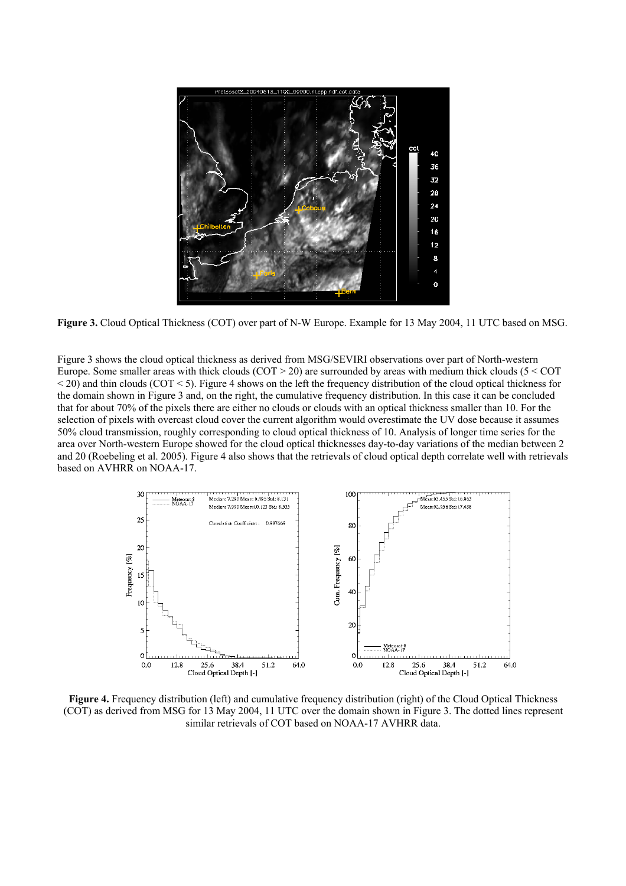

**Figure 3.** Cloud Optical Thickness (COT) over part of N-W Europe. Example for 13 May 2004, 11 UTC based on MSG.

Figure 3 shows the cloud optical thickness as derived from MSG/SEVIRI observations over part of North-western Europe. Some smaller areas with thick clouds  $(COT > 20)$  are surrounded by areas with medium thick clouds (5 < COT  $\leq$  20) and thin clouds (COT  $\leq$  5). Figure 4 shows on the left the frequency distribution of the cloud optical thickness for the domain shown in Figure 3 and, on the right, the cumulative frequency distribution. In this case it can be concluded that for about 70% of the pixels there are either no clouds or clouds with an optical thickness smaller than 10. For the selection of pixels with overcast cloud cover the current algorithm would overestimate the UV dose because it assumes 50% cloud transmission, roughly corresponding to cloud optical thickness of 10. Analysis of longer time series for the area over North-western Europe showed for the cloud optical thicknesses day-to-day variations of the median between 2 and 20 (Roebeling et al. 2005). Figure 4 also shows that the retrievals of cloud optical depth correlate well with retrievals based on AVHRR on NOAA-17.



**Figure 4.** Frequency distribution (left) and cumulative frequency distribution (right) of the Cloud Optical Thickness (COT) as derived from MSG for 13 May 2004, 11 UTC over the domain shown in Figure 3. The dotted lines represent similar retrievals of COT based on NOAA-17 AVHRR data.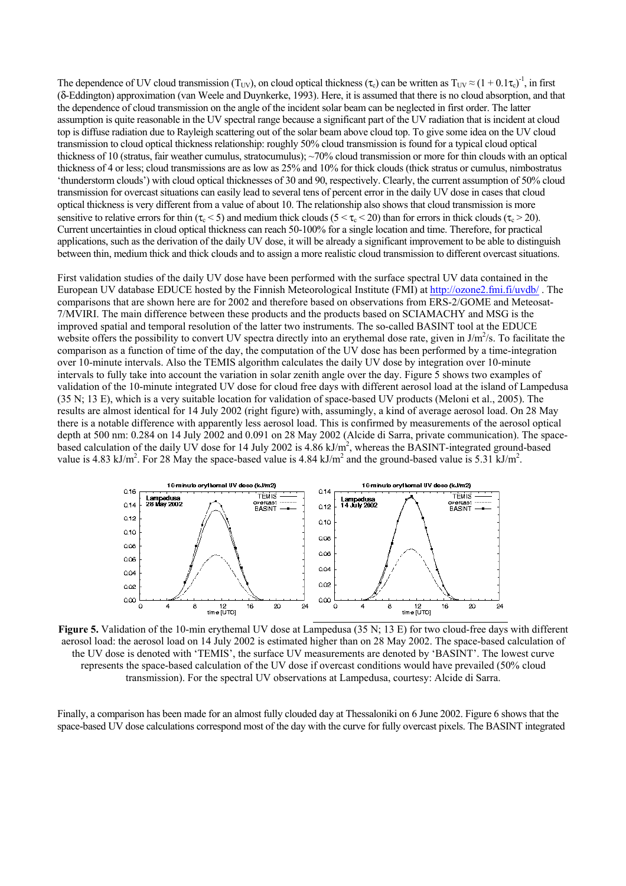The dependence of UV cloud transmission (T<sub>UV</sub>), on cloud optical thickness ( $\tau_c$ ) can be written as  $T_{UV} \approx (1 + 0.1\tau_c)^{-1}$ , in first (δ-Eddington) approximation (van Weele and Duynkerke, 1993). Here, it is assumed that there is no cloud absorption, and that the dependence of cloud transmission on the angle of the incident solar beam can be neglected in first order. The latter assumption is quite reasonable in the UV spectral range because a significant part of the UV radiation that is incident at cloud top is diffuse radiation due to Rayleigh scattering out of the solar beam above cloud top. To give some idea on the UV cloud transmission to cloud optical thickness relationship: roughly 50% cloud transmission is found for a typical cloud optical thickness of 10 (stratus, fair weather cumulus, stratocumulus);  $\sim$ 70% cloud transmission or more for thin clouds with an optical thickness of 4 or less; cloud transmissions are as low as 25% and 10% for thick clouds (thick stratus or cumulus, nimbostratus 'thunderstorm clouds') with cloud optical thicknesses of 30 and 90, respectively. Clearly, the current assumption of 50% cloud transmission for overcast situations can easily lead to several tens of percent error in the daily UV dose in cases that cloud optical thickness is very different from a value of about 10. The relationship also shows that cloud transmission is more sensitive to relative errors for thin  $(\tau_c < 5)$  and medium thick clouds  $(5 < \tau_c < 20)$  than for errors in thick clouds  $(\tau_c > 20)$ . Current uncertainties in cloud optical thickness can reach 50-100% for a single location and time. Therefore, for practical applications, such as the derivation of the daily UV dose, it will be already a significant improvement to be able to distinguish between thin, medium thick and thick clouds and to assign a more realistic cloud transmission to different overcast situations.

First validation studies of the daily UV dose have been performed with the surface spectral UV data contained in the European UV database EDUCE hosted by the Finnish Meteorological Institute (FMI) at http://ozone2.fmi.fi/uvdb/ . The comparisons that are shown here are for 2002 and therefore based on observations from ERS-2/GOME and Meteosat-7/MVIRI. The main difference between these products and the products based on SCIAMACHY and MSG is the improved spatial and temporal resolution of the latter two instruments. The so-called BASINT tool at the EDUCE website offers the possibility to convert UV spectra directly into an erythemal dose rate, given in  $J/m^2/s$ . To facilitate the comparison as a function of time of the day, the computation of the UV dose has been performed by a time-integration over 10-minute intervals. Also the TEMIS algorithm calculates the daily UV dose by integration over 10-minute intervals to fully take into account the variation in solar zenith angle over the day. Figure 5 shows two examples of validation of the 10-minute integrated UV dose for cloud free days with different aerosol load at the island of Lampedusa (35 N; 13 E), which is a very suitable location for validation of space-based UV products (Meloni et al., 2005). The results are almost identical for 14 July 2002 (right figure) with, assumingly, a kind of average aerosol load. On 28 May there is a notable difference with apparently less aerosol load. This is confirmed by measurements of the aerosol optical depth at 500 nm: 0.284 on 14 July 2002 and 0.091 on 28 May 2002 (Alcide di Sarra, private communication). The spacebased calculation of the daily UV dose for 14 July 2002 is 4.86 kJ/m<sup>2</sup>, whereas the BASINT-integrated ground-based value is 4.83 kJ/m<sup>2</sup>. For 28 May the space-based value is 4.84 kJ/m<sup>2</sup> and the ground-based value is 5.31 kJ/m<sup>2</sup>.



**Figure 5.** Validation of the 10-min erythemal UV dose at Lampedusa (35 N; 13 E) for two cloud-free days with different aerosol load: the aerosol load on 14 July 2002 is estimated higher than on 28 May 2002. The space-based calculation of the UV dose is denoted with 'TEMIS', the surface UV measurements are denoted by 'BASINT'. The lowest curve represents the space-based calculation of the UV dose if overcast conditions would have prevailed (50% cloud transmission). For the spectral UV observations at Lampedusa, courtesy: Alcide di Sarra.

Finally, a comparison has been made for an almost fully clouded day at Thessaloniki on 6 June 2002. Figure 6 shows that the space-based UV dose calculations correspond most of the day with the curve for fully overcast pixels. The BASINT integrated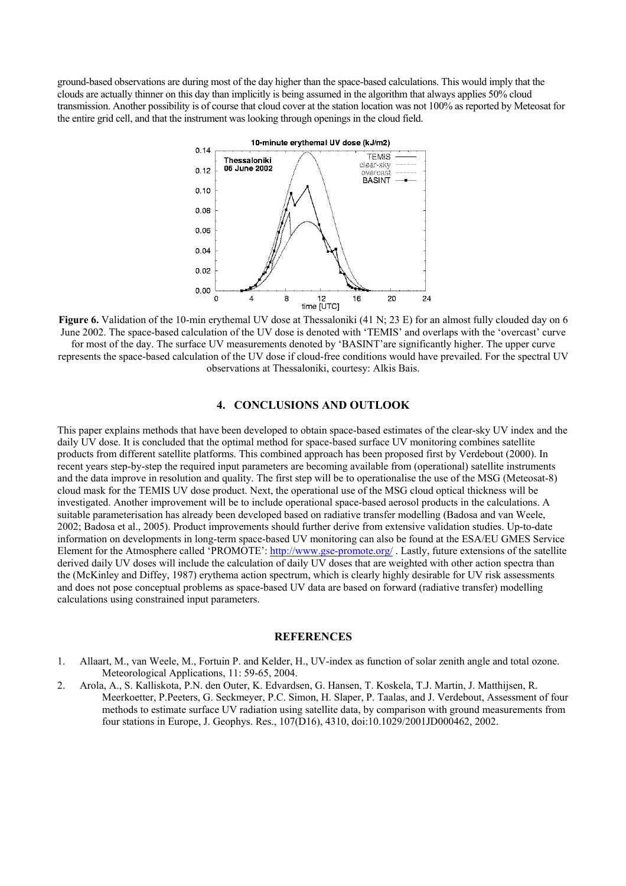ground-based observations are during most of the day higher than the space-based calculations. This would imply that the clouds are actually thinner on this day than implicitly is being assumed in the algorithm that always applies 50% cloud transmission. Another possibility is of course that cloud cover at the station location was not 100% as reported by Meteosat for the entire grid cell, and that the instrument was looking through openings in the cloud field.



**Figure 6.** Validation of the 10-min erythemal UV dose at Thessaloniki (41 N; 23 E) for an almost fully clouded day on 6 June 2002. The space-based calculation of the UV dose is denoted with 'TEMIS' and overlaps with the 'overcast' curve for most of the day. The surface UV measurements denoted by 'BASINT'are significantly higher. The upper curve represents the space-based calculation of the UV dose if cloud-free conditions would have prevailed. For the spectral UV observations at Thessaloniki, courtesy: Alkis Bais.

## **4. CONCLUSIONS AND OUTLOOK**

This paper explains methods that have been developed to obtain space-based estimates of the clear-sky UV index and the daily UV dose. It is concluded that the optimal method for space-based surface UV monitoring combines satellite products from different satellite platforms. This combined approach has been proposed first by Verdebout (2000). In recent years step-by-step the required input parameters are becoming available from (operational) satellite instruments and the data improve in resolution and quality. The first step will be to operationalise the use of the MSG (Meteosat-8) cloud mask for the TEMIS UV dose product. Next, the operational use of the MSG cloud optical thickness will be investigated. Another improvement will be to include operational space-based aerosol products in the calculations. A suitable parameterisation has already been developed based on radiative transfer modelling (Badosa and van Weele, 2002; Badosa et al., 2005). Product improvements should further derive from extensive validation studies. Up-to-date information on developments in long-term space-based UV monitoring can also be found at the ESA/EU GMES Service Element for the Atmosphere called 'PROMOTE': http://www.gse-promote.org/. Lastly, future extensions of the satellite derived daily UV doses will include the calculation of daily UV doses that are weighted with other action spectra than the (McKinley and Diffey, 1987) erythema action spectrum, which is clearly highly desirable for UV risk assessments and does not pose conceptual problems as space-based UV data are based on forward (radiative transfer) modelling calculations using constrained input parameters.

#### **REFERENCES**

- 1. Allaart, M., van Weele, M., Fortuin P. and Kelder, H., UV-index as function of solar zenith angle and total ozone. Meteorological Applications, 11: 59-65, 2004.
- 2. Arola, A., S. Kalliskota, P.N. den Outer, K. Edvardsen, G. Hansen, T. Koskela, T.J. Martin, J. Matthijsen, R. Meerkoetter, P.Peeters, G. Seckmeyer, P.C. Simon, H. Slaper, P. Taalas, and J. Verdebout, Assessment of four methods to estimate surface UV radiation using satellite data, by comparison with ground measurements from four stations in Europe, J. Geophys. Res., 107(D16), 4310, doi:10.1029/2001JD000462, 2002.